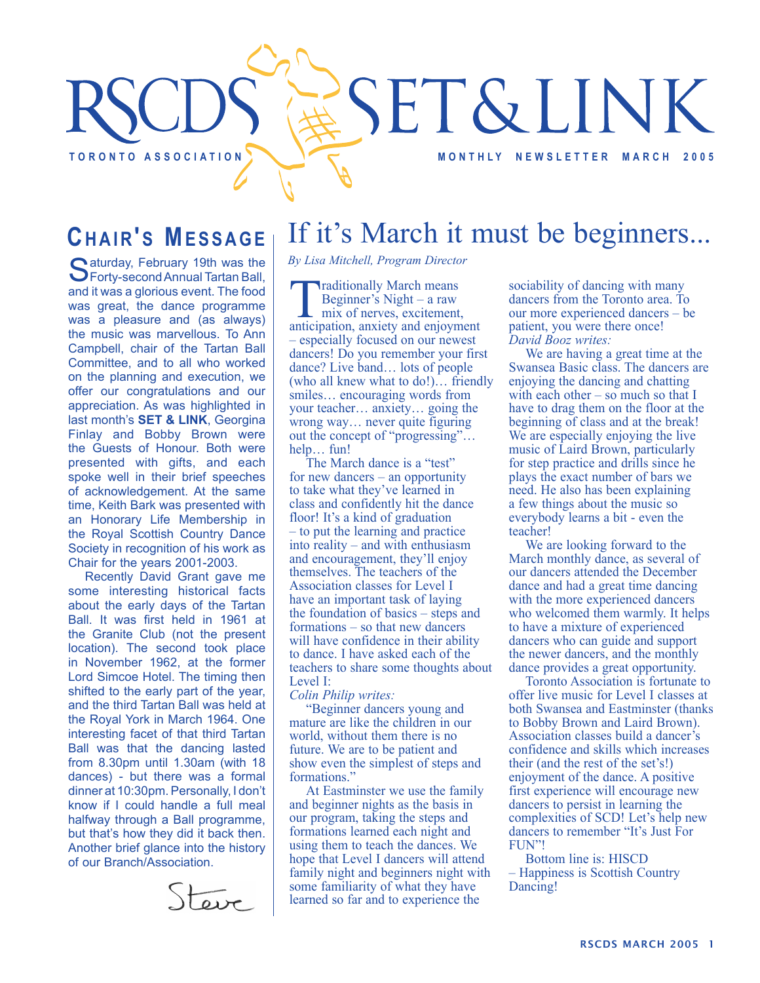# **SET&LINK** TORONTO ASSOCIATION **TO REALLY ASSOCIATION**

## **CHAIR'S MESSAGE**

Saturday, February 19th was the Sprinty-second Annual Tartan Ball, and it was a glorious event. The food was great, the dance programme was a pleasure and (as always) the music was marvellous. To Ann Campbell, chair of the Tartan Ball Committee, and to all who worked on the planning and execution, we offer our congratulations and our appreciation. As was highlighted in last month's **SET & LINK**, Georgina Finlay and Bobby Brown were the Guests of Honour. Both were presented with gifts, and each spoke well in their brief speeches of acknowledgement. At the same time, Keith Bark was presented with an Honorary Life Membership in the Royal Scottish Country Dance Society in recognition of his work as Chair for the years 2001-2003.

Recently David Grant gave me some interesting historical facts about the early days of the Tartan Ball. It was first held in 1961 at the Granite Club (not the present location). The second took place in November 1962, at the former Lord Simcoe Hotel. The timing then shifted to the early part of the year, and the third Tartan Ball was held at the Royal York in March 1964. One interesting facet of that third Tartan Ball was that the dancing lasted from 8.30pm until 1.30am (with 18 dances) - but there was a formal dinner at 10:30pm. Personally, I don't know if I could handle a full meal halfway through a Ball programme, but that's how they did it back then. Another brief glance into the history of our Branch/Association.



## If it's March it must be beginners...

*By Lisa Mitchell, Program Director*

Traditionally March means<br>
Beginner's Night – a raw<br>
mix of nerves, excitement,<br>
anticipation anxiety and enjoyme Beginner's Night – a raw anticipation, anxiety and enjoyment – especially focused on our newest dancers! Do you remember your first dance? Live band… lots of people (who all knew what to do!)… friendly smiles… encouraging words from your teacher… anxiety… going the wrong way… never quite figuring out the concept of "progressing"… help… fun!

The March dance is a "test" for new dancers – an opportunity to take what they've learned in class and confidently hit the dance floor! It's a kind of graduation – to put the learning and practice into reality – and with enthusiasm and encouragement, they'll enjoy themselves. The teachers of the Association classes for Level I have an important task of laying the foundation of basics – steps and formations – so that new dancers will have confidence in their ability to dance. I have asked each of the teachers to share some thoughts about Level I:

*Colin Philip writes:*

"Beginner dancers young and mature are like the children in our world, without them there is no future. We are to be patient and show even the simplest of steps and formations."

At Eastminster we use the family and beginner nights as the basis in our program, taking the steps and formations learned each night and using them to teach the dances. We hope that Level I dancers will attend family night and beginners night with some familiarity of what they have learned so far and to experience the

sociability of dancing with many dancers from the Toronto area. To our more experienced dancers – be patient, you were there once! *David Booz writes:*

We are having a great time at the Swansea Basic class. The dancers are enjoying the dancing and chatting with each other – so much so that I have to drag them on the floor at the beginning of class and at the break! We are especially enjoying the live music of Laird Brown, particularly for step practice and drills since he plays the exact number of bars we need. He also has been explaining a few things about the music so everybody learns a bit - even the teacher!

We are looking forward to the March monthly dance, as several of our dancers attended the December dance and had a great time dancing with the more experienced dancers who welcomed them warmly. It helps to have a mixture of experienced dancers who can guide and support the newer dancers, and the monthly dance provides a great opportunity.

Toronto Association is fortunate to offer live music for Level I classes at both Swansea and Eastminster (thanks to Bobby Brown and Laird Brown). Association classes build a dancer's confidence and skills which increases their (and the rest of the set's!) enjoyment of the dance. A positive first experience will encourage new dancers to persist in learning the complexities of SCD! Let's help new dancers to remember "It's Just For FUN"!

Bottom line is: HISCD – Happiness is Scottish Country Dancing!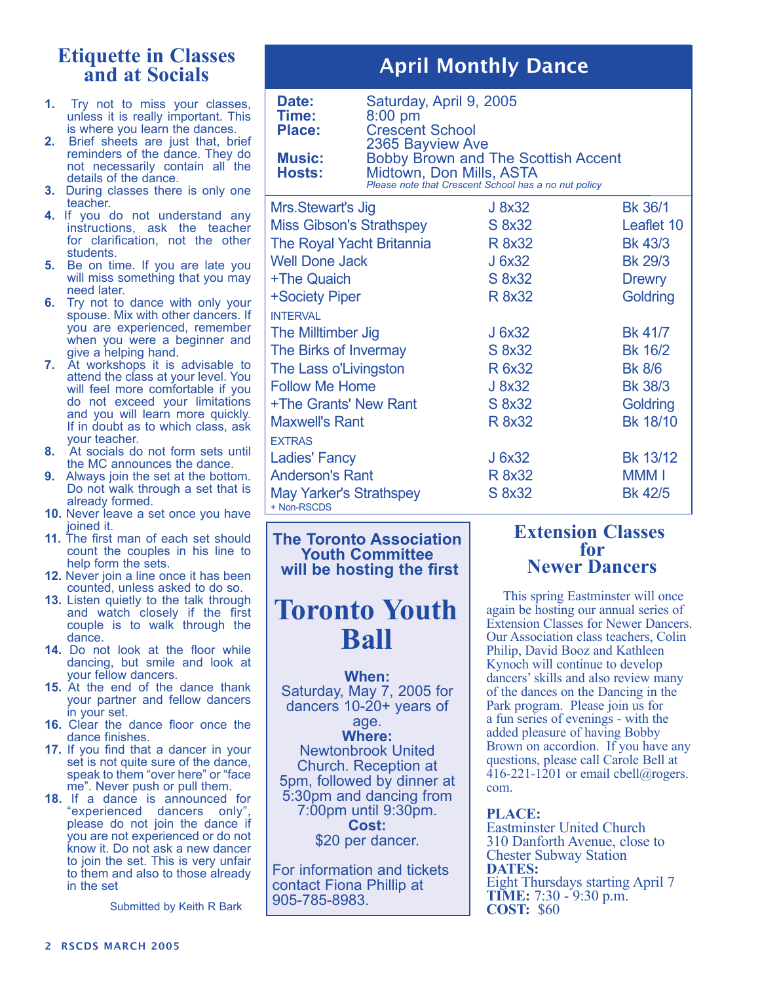## **Etiquette in Classes and at Socials**

- **1.** Try not to miss your classes, unless it is really important. This is where you learn the dances.
- **2.** Brief sheets are just that, brief reminders of the dance. They do not necessarily contain all the details of the dance.
- **3.** During classes there is only one teacher.
- **4.** If you do not understand any instructions, ask the teacher for clarification, not the other students.
- **5.** Be on time. If you are late you will miss something that you may need later.
- **6.** Try not to dance with only your spouse. Mix with other dancers. If you are experienced, remember when you were a beginner and give a helping hand.
- **7.** At workshops it is advisable to attend the class at your level. You will feel more comfortable if you do not exceed your limitations and you will learn more quickly. If in doubt as to which class, ask your teacher.
- **8.** At socials do not form sets until the MC announces the dance.
- **9.** Always join the set at the bottom. Do not walk through a set that is already formed.
- **10.** Never leave a set once you have joined it.
- **11.** The first man of each set should count the couples in his line to help form the sets.
- **12.** Never join a line once it has been counted, unless asked to do so.
- **13.** Listen quietly to the talk through and watch closely if the first couple is to walk through the dance.
- **14.** Do not look at the floor while dancing, but smile and look at your fellow dancers.
- **15.** At the end of the dance thank your partner and fellow dancers in your set.
- **16.** Clear the dance floor once the dance finishes.
- **17.** If you find that a dancer in your set is not quite sure of the dance, speak to them "over here" or "face me". Never push or pull them.
- **18.** If a dance is announced for "experienced dancers only", please do not join the dance if you are not experienced or do not know it. Do not ask a new dancer to join the set. This is very unfair to them and also to those already in the set

Submitted by Keith R Bark

### April Monthly Dance

| Date:<br>Time:<br><b>Place:</b><br><b>Music:</b><br>Hosts: | Saturday, April 9, 2005<br>$8:00$ pm<br><b>Crescent School</b><br>2365 Bayview Ave<br>Midtown, Don Mills, ASTA | <b>Bobby Brown and The Scottish Accent</b><br>Please note that Crescent School has a no nut policy |                |
|------------------------------------------------------------|----------------------------------------------------------------------------------------------------------------|----------------------------------------------------------------------------------------------------|----------------|
| Mrs.Stewart's Jig                                          |                                                                                                                | J 8x32                                                                                             | <b>Bk 36/1</b> |
| <b>Miss Gibson's Strathspey</b>                            |                                                                                                                | S 8x32                                                                                             | Leaflet 10     |
| <b>The Royal Yacht Britannia</b>                           |                                                                                                                | R 8x32                                                                                             | <b>Bk 43/3</b> |
| <b>Well Done Jack</b>                                      |                                                                                                                | J 6x32                                                                                             | <b>Bk 29/3</b> |
| +The Quaich                                                |                                                                                                                | S 8x32                                                                                             | <b>Drewry</b>  |
| +Society Piper                                             |                                                                                                                | R 8x32                                                                                             | Goldring       |
| <b>INTERVAL</b>                                            |                                                                                                                |                                                                                                    |                |
| The Milltimber Jig                                         |                                                                                                                | J 6x32                                                                                             | <b>Bk 41/7</b> |
| The Birks of Invermay                                      |                                                                                                                | S 8x32                                                                                             | <b>Bk 16/2</b> |
| The Lass o'Livingston                                      |                                                                                                                | R 6x32                                                                                             | <b>Bk 8/6</b>  |
| <b>Follow Me Home</b>                                      |                                                                                                                | J 8x32                                                                                             | <b>Bk 38/3</b> |
| +The Grants' New Rant                                      |                                                                                                                | S 8x32                                                                                             | Goldring       |
| <b>Maxwell's Rant</b>                                      |                                                                                                                | R 8x32                                                                                             | Bk 18/10       |
| <b>EXTRAS</b>                                              |                                                                                                                |                                                                                                    |                |
| <b>Ladies' Fancy</b>                                       |                                                                                                                | J 6x32                                                                                             | Bk 13/12       |
| <b>Anderson's Rant</b>                                     |                                                                                                                | R 8x32                                                                                             | <b>MMMI</b>    |
| <b>May Yarker's Strathspey</b><br>+ Non-RSCDS              |                                                                                                                | S 8x32                                                                                             | Bk 42/5        |

**The Toronto Association Youth Committee will be hosting the first**

## **Toronto Youth Ball**

#### **When:**

Saturday, May 7, 2005 for dancers 10-20+ years of

#### age.

**Where:** Newtonbrook United Church. Reception at 5pm, followed by dinner at 5:30pm and dancing from 7:00pm until 9:30pm. **Cost:**

\$20 per dancer.

For information and tickets contact Fiona Phillip at 905-785-8983.

#### **Extension Classes for Newer Dancers**

This spring Eastminster will once again be hosting our annual series of Extension Classes for Newer Dancers. Our Association class teachers, Colin Philip, David Booz and Kathleen Kynoch will continue to develop dancers' skills and also review many of the dances on the Dancing in the Park program. Please join us for a fun series of evenings - with the added pleasure of having Bobby Brown on accordion. If you have any questions, please call Carole Bell at  $\overline{416}$ -221-1201 or email cbell@rogers. com.

#### **PLACE:**

Eastminster United Church 310 Danforth Avenue, close to Chester Subway Station **DATES:** Eight Thursdays starting April 7 **TIME:** 7:30 - 9:30 p.m. **COST:** \$60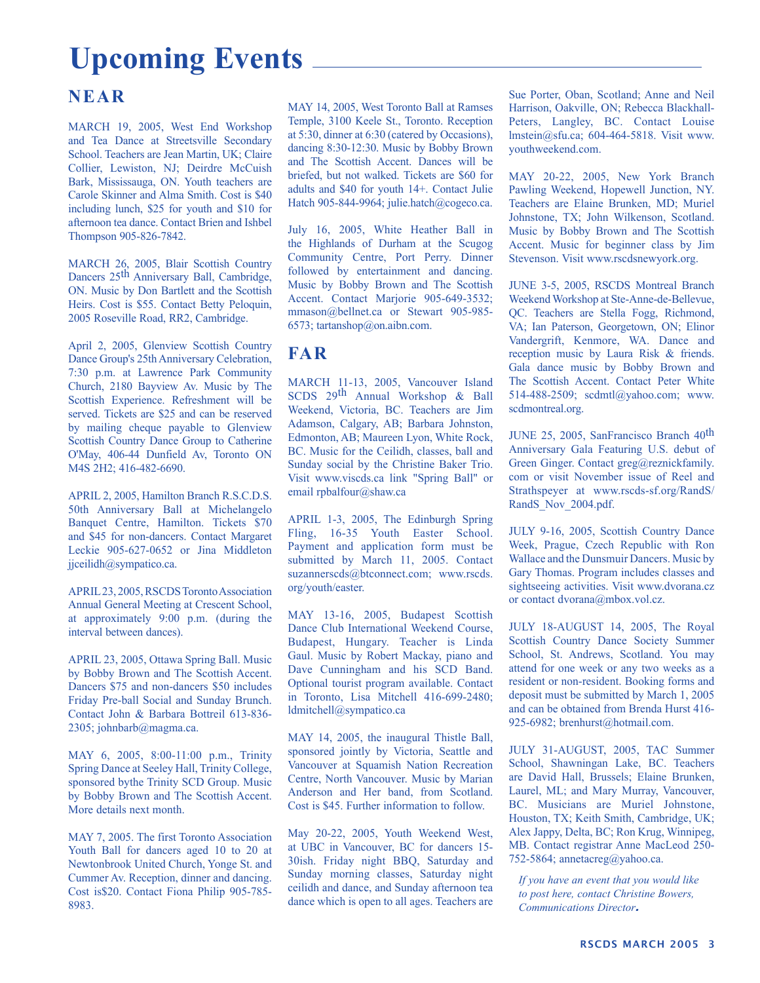## **Upcoming Events**

#### **NEAR**

MARCH 19, 2005, West End Workshop and Tea Dance at Streetsville Secondary School. Teachers are Jean Martin, UK; Claire Collier, Lewiston, NJ; Deirdre McCuish Bark, Mississauga, ON. Youth teachers are Carole Skinner and Alma Smith. Cost is \$40 including lunch, \$25 for youth and \$10 for afternoon tea dance. Contact Brien and Ishbel Thompson 905-826-7842.

MARCH 26, 2005, Blair Scottish Country Dancers 25<sup>th</sup> Anniversary Ball, Cambridge, ON. Music by Don Bartlett and the Scottish Heirs. Cost is \$55. Contact Betty Peloquin, 2005 Roseville Road, RR2, Cambridge.

April 2, 2005, Glenview Scottish Country Dance Group's 25th Anniversary Celebration, 7:30 p.m. at Lawrence Park Community Church, 2180 Bayview Av. Music by The Scottish Experience. Refreshment will be served. Tickets are \$25 and can be reserved by mailing cheque payable to Glenview Scottish Country Dance Group to Catherine O'May, 406-44 Dunfield Av, Toronto ON M4S 2H2; 416-482-6690.

APRIL 2, 2005, Hamilton Branch R.S.C.D.S. 50th Anniversary Ball at Michelangelo Banquet Centre, Hamilton. Tickets \$70 and \$45 for non-dancers. Contact Margaret Leckie 905-627-0652 or Jina Middleton jiceilidh@sympatico.ca.

APRIL 23, 2005, RSCDS Toronto Association Annual General Meeting at Crescent School, at approximately 9:00 p.m. (during the interval between dances).

APRIL 23, 2005, Ottawa Spring Ball. Music by Bobby Brown and The Scottish Accent. Dancers \$75 and non-dancers \$50 includes Friday Pre-ball Social and Sunday Brunch. Contact John & Barbara Bottreil 613-836- 2305; johnbarb@magma.ca.

MAY 6, 2005, 8:00-11:00 p.m., Trinity Spring Dance at Seeley Hall, Trinity College, sponsored bythe Trinity SCD Group. Music by Bobby Brown and The Scottish Accent. More details next month.

MAY 7, 2005. The first Toronto Association Youth Ball for dancers aged 10 to 20 at Newtonbrook United Church, Yonge St. and Cummer Av. Reception, dinner and dancing. Cost is\$20. Contact Fiona Philip 905-785- 8983.

MAY 14, 2005, West Toronto Ball at Ramses Temple, 3100 Keele St., Toronto. Reception at 5:30, dinner at 6:30 (catered by Occasions), dancing 8:30-12:30. Music by Bobby Brown and The Scottish Accent. Dances will be briefed, but not walked. Tickets are \$60 for adults and \$40 for youth 14+. Contact Julie Hatch 905-844-9964; julie.hatch@cogeco.ca.

July 16, 2005, White Heather Ball in the Highlands of Durham at the Scugog Community Centre, Port Perry. Dinner followed by entertainment and dancing. Music by Bobby Brown and The Scottish Accent. Contact Marjorie 905-649-3532; mmason@bellnet.ca or Stewart 905-985-6573; tartanshop@on.aibn.com.

#### **FAR**

MARCH 11-13, 2005, Vancouver Island SCDS 29th Annual Workshop & Ball Weekend, Victoria, BC. Teachers are Jim Adamson, Calgary, AB; Barbara Johnston, Edmonton, AB; Maureen Lyon, White Rock, BC. Music for the Ceilidh, classes, ball and Sunday social by the Christine Baker Trio. Visit www.viscds.ca link "Spring Ball" or email rpbalfour@shaw.ca

APRIL 1-3, 2005, The Edinburgh Spring Fling, 16-35 Youth Easter School. Payment and application form must be submitted by March 11, 2005. Contact suzannerscds@btconnect.com; www.rscds. org/youth/easter.

MAY 13-16, 2005, Budapest Scottish Dance Club International Weekend Course, Budapest, Hungary. Teacher is Linda Gaul. Music by Robert Mackay, piano and Dave Cunningham and his SCD Band. Optional tourist program available. Contact in Toronto, Lisa Mitchell 416-699-2480; ldmitchell@sympatico.ca

MAY 14, 2005, the inaugural Thistle Ball, sponsored jointly by Victoria, Seattle and Vancouver at Squamish Nation Recreation Centre, North Vancouver. Music by Marian Anderson and Her band, from Scotland. Cost is \$45. Further information to follow.

May 20-22, 2005, Youth Weekend West, at UBC in Vancouver, BC for dancers 15- 30ish. Friday night BBQ, Saturday and Sunday morning classes, Saturday night ceilidh and dance, and Sunday afternoon tea dance which is open to all ages. Teachers are Sue Porter, Oban, Scotland; Anne and Neil Harrison, Oakville, ON; Rebecca Blackhall-Peters, Langley, BC. Contact Louise lmstein@sfu.ca; 604-464-5818. Visit www. youthweekend.com.

MAY 20-22, 2005, New York Branch Pawling Weekend, Hopewell Junction, NY. Teachers are Elaine Brunken, MD; Muriel Johnstone, TX; John Wilkenson, Scotland. Music by Bobby Brown and The Scottish Accent. Music for beginner class by Jim Stevenson. Visit www.rscdsnewyork.org.

JUNE 3-5, 2005, RSCDS Montreal Branch Weekend Workshop at Ste-Anne-de-Bellevue, QC. Teachers are Stella Fogg, Richmond, VA; Ian Paterson, Georgetown, ON; Elinor Vandergrift, Kenmore, WA. Dance and reception music by Laura Risk & friends. Gala dance music by Bobby Brown and The Scottish Accent. Contact Peter White 514-488-2509; scdmtl@yahoo.com; www. scdmontreal.org.

JUNE 25, 2005, SanFrancisco Branch 40th Anniversary Gala Featuring U.S. debut of Green Ginger. Contact greg@reznickfamily. com or visit November issue of Reel and Strathspeyer at www.rscds-sf.org/RandS/ RandS\_Nov\_2004.pdf.

JULY 9-16, 2005, Scottish Country Dance Week, Prague, Czech Republic with Ron Wallace and the Dunsmuir Dancers. Music by Gary Thomas. Program includes classes and sightseeing activities. Visit www.dvorana.cz or contact dvorana@mbox.vol.cz.

JULY 18-AUGUST 14, 2005, The Royal Scottish Country Dance Society Summer School, St. Andrews, Scotland. You may attend for one week or any two weeks as a resident or non-resident. Booking forms and deposit must be submitted by March 1, 2005 and can be obtained from Brenda Hurst 416- 925-6982; brenhurst@hotmail.com.

JULY 31-AUGUST, 2005, TAC Summer School, Shawningan Lake, BC. Teachers are David Hall, Brussels; Elaine Brunken, Laurel, ML; and Mary Murray, Vancouver, BC. Musicians are Muriel Johnstone, Houston, TX; Keith Smith, Cambridge, UK; Alex Jappy, Delta, BC; Ron Krug, Winnipeg, MB. Contact registrar Anne MacLeod 250- 752-5864; annetacreg@yahoo.ca.

*If you have an event that you would like to post here, contact Christine Bowers, Communications Director*.